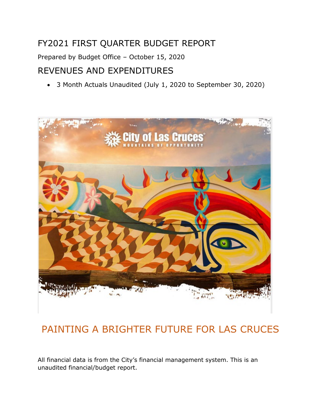# FY2021 FIRST QUARTER BUDGET REPORT

Prepared by Budget Office – October 15, 2020

# REVENUES AND EXPENDITURES

• 3 Month Actuals Unaudited (July 1, 2020 to September 30, 2020)



# PAINTING A BRIGHTER FUTURE FOR LAS CRUCES

All financial data is from the City's financial management system. This is an unaudited financial/budget report.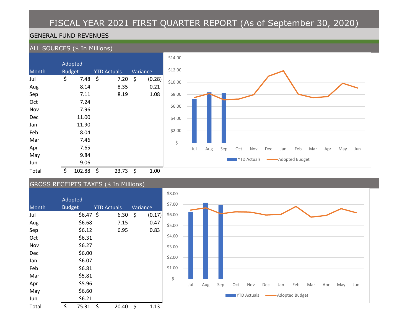# FISCAL YEAR 2021 FIRST QUARTER REPORT (As of September 30, 2020)

## GENERAL FUND REVENUES

## ALL SOURCES (\$ In Millions)

|            | Adopted       |                    |          |        |  |  |  |
|------------|---------------|--------------------|----------|--------|--|--|--|
| Month      | <b>Budget</b> | <b>YTD Actuals</b> | Variance |        |  |  |  |
| Jul        | \$<br>7.48    | \$<br>7.20         | \$       | (0.28) |  |  |  |
| Aug        | 8.14          | 8.35               |          | 0.21   |  |  |  |
| Sep        | 7.11          | 8.19               |          | 1.08   |  |  |  |
| Oct        | 7.24          |                    |          |        |  |  |  |
| Nov        | 7.96          |                    |          |        |  |  |  |
| <b>Dec</b> | 11.00         |                    |          |        |  |  |  |
| Jan        | 11.90         |                    |          |        |  |  |  |
| Feb        | 8.04          |                    |          |        |  |  |  |
| Mar        | 7.46          |                    |          |        |  |  |  |
| Apr        | 7.65          |                    |          |        |  |  |  |
| May        | 9.84          |                    |          |        |  |  |  |
| Jun        | 9.06          |                    |          |        |  |  |  |
| Total      | \$<br>102.88  | \$<br>23.73        | \$       | 1.00   |  |  |  |



# GROSS RECEIPTS TAXES (\$ In Millions)

|       |                           |                    |          | \$8.00    |                                                                                  |
|-------|---------------------------|--------------------|----------|-----------|----------------------------------------------------------------------------------|
| Month | Adopted<br><b>Budget</b>  | <b>YTD Actuals</b> | Variance | \$7.00    |                                                                                  |
| Jul   | $$6.47$ \$                | 6.30 \$            | (0.17)   | \$6.00    |                                                                                  |
| Aug   | \$6.68                    | 7.15               | 0.47     | \$5.00    |                                                                                  |
| Sep   | \$6.12                    | 6.95               | 0.83     |           |                                                                                  |
| Oct   | \$6.31                    |                    |          | \$4.00    |                                                                                  |
| Nov   | \$6.27                    |                    |          | \$3.00    |                                                                                  |
| Dec   | \$6.00                    |                    |          |           |                                                                                  |
| Jan   | \$6.07                    |                    |          | \$2.00    |                                                                                  |
| Feb   | \$6.81                    |                    |          | \$1.00    |                                                                                  |
| Mar   | \$5.81                    |                    |          | $\zeta$ - |                                                                                  |
| Apr   | \$5.96                    |                    |          |           | Jul<br>Aug<br>Sep<br>Oct<br>Feb<br>Mar<br>Nov<br>Dec<br>Apr<br>May<br>Jan<br>Jun |
| May   | \$6.60                    |                    |          |           |                                                                                  |
| Jun   | \$6.21                    |                    |          |           | <b>YTD Actuals</b><br>-Adopted Budget                                            |
| Total | $75.31 \; \text{S}$<br>\$ | $20.40 \div$       | 1.13     |           |                                                                                  |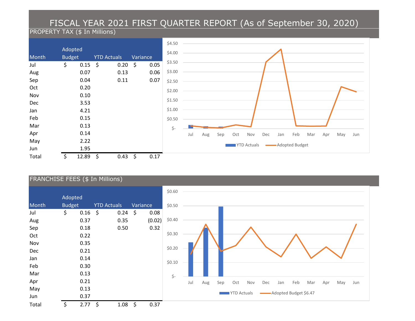# FISCAL YEAR 2021 FIRST QUARTER REPORT (As of September 30, 2020)

# PROPERTY TAX (\$ In Millions)



### FRANCHISE FEES (\$ In Millions)

|       | Adopted         |                    |           |          | \$0.60    |                                                                                  |
|-------|-----------------|--------------------|-----------|----------|-----------|----------------------------------------------------------------------------------|
| Month | <b>Budget</b>   | <b>YTD Actuals</b> |           | Variance | \$0.50    |                                                                                  |
| Jul   | \$<br>$0.16$ \$ |                    | $0.24$ \$ | 0.08     |           |                                                                                  |
| Aug   | 0.37            | 0.35               |           | (0.02)   | \$0.40    |                                                                                  |
| Sep   | 0.18            | 0.50               |           | 0.32     |           |                                                                                  |
| Oct   | 0.22            |                    |           |          | \$0.30    |                                                                                  |
| Nov   | 0.35            |                    |           |          |           |                                                                                  |
| Dec   | 0.21            |                    |           |          | \$0.20    |                                                                                  |
| Jan   | 0.14            |                    |           |          |           |                                                                                  |
| Feb   | 0.30            |                    |           |          | \$0.10    |                                                                                  |
| Mar   | 0.13            |                    |           |          | $\zeta$ - |                                                                                  |
| Apr   | 0.21            |                    |           |          |           | Aug<br>Feb<br>Jul<br>Sep<br>Oct<br>Nov<br>Dec<br>Jan<br>Mar<br>Apr<br>May<br>Jun |
| May   | 0.13            |                    |           |          |           |                                                                                  |
| Jun   | 0.37            |                    |           |          |           | Adopted Budget \$6.47<br><b>YTD Actuals</b>                                      |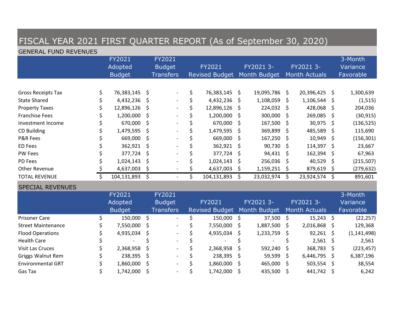| FISCAL YEAR 2021 FIRST QUARTER REPORT (As of September 30, 2020) |                              |                                    |    |                                             |    |                                       |    |              |    |                                   |         |                                  |  |  |
|------------------------------------------------------------------|------------------------------|------------------------------------|----|---------------------------------------------|----|---------------------------------------|----|--------------|----|-----------------------------------|---------|----------------------------------|--|--|
|                                                                  | <b>GENERAL FUND REVENUES</b> |                                    |    |                                             |    |                                       |    |              |    |                                   |         |                                  |  |  |
|                                                                  |                              | FY2021<br>Adopted<br><b>Budget</b> |    | FY2021<br><b>Budget</b><br><b>Transfers</b> |    | FY2021<br>Revised Budget Month Budget |    | FY2021 3-    |    | FY2021 3-<br><b>Month Actuals</b> |         | 3-Month<br>Variance<br>Favorable |  |  |
|                                                                  |                              |                                    |    |                                             |    |                                       |    |              |    |                                   |         |                                  |  |  |
| <b>Gross Receipts Tax</b>                                        | \$                           | 76,383,145                         | \$ |                                             | \$ | 76,383,145                            | \$ | 19,095,786   | \$ | 20,396,425                        | - \$    | 1,300,639                        |  |  |
| <b>State Shared</b>                                              |                              | 4,432,236                          | \$ |                                             | \$ | 4,432,236                             | \$ | 1,108,059    | \$ | 1,106,544                         | \$      | (1, 515)                         |  |  |
| <b>Property Taxes</b>                                            |                              | 12,896,126                         | \$ |                                             | \$ | 12,896,126                            | \$ | 224,032      | \$ | 428,068                           | \$      | 204,036                          |  |  |
| <b>Franchise Fees</b>                                            |                              | 1,200,000                          | \$ |                                             | \$ | 1,200,000                             | \$ | 300,000      | \$ | 269,085                           | \$      | (30, 915)                        |  |  |
| Investment Income                                                |                              | 670,000                            | \$ |                                             | \$ | 670,000                               | \$ | 167,500      | \$ | 30,975                            | \$      | (136, 525)                       |  |  |
| <b>CD Building</b>                                               |                              | 1,479,595                          | \$ |                                             | \$ | 1,479,595                             | \$ | 369,899      | \$ | 485,589                           | $\zeta$ | 115,690                          |  |  |
| <b>P&amp;R Fees</b>                                              |                              | 669,000                            | \$ |                                             | \$ | 669,000                               | \$ | 167,250      | \$ | 10,949                            | \$      | (156, 301)                       |  |  |
| ED Fees                                                          |                              | 362,921                            | \$ |                                             | \$ | 362,921                               | \$ | 90,730       | \$ | 114,397                           | \$      | 23,667                           |  |  |
| <b>PW Fees</b>                                                   |                              | 377,724                            | \$ |                                             | \$ | 377,724                               | \$ | 94,431       | \$ | 162,394                           | \$      | 67,963                           |  |  |
| <b>PD Fees</b>                                                   |                              | 1,024,143                          | \$ |                                             | \$ | 1,024,143                             | \$ | 256,036      | \$ | 40,529                            | \$      | (215, 507)                       |  |  |
| <b>Other Revenue</b>                                             |                              | 4,637,003                          | \$ |                                             | \$ | 4,637,003                             | \$ | 1,159,251    | \$ | 879,619                           | \$      | (279, 632)                       |  |  |
| <b>TOTAL REVENUE</b>                                             | $\mathsf{\hat{S}}$           | 104,131,893                        | \$ | $\blacksquare$                              | \$ | 104,131,893                           | \$ | 23,032,974   | \$ | 23,924,574                        | \$      | 891,601                          |  |  |
| <b>SPECIAL REVENUES</b>                                          |                              |                                    |    |                                             |    |                                       |    |              |    |                                   |         |                                  |  |  |
|                                                                  |                              | FY2021                             |    | FY2021                                      |    |                                       |    |              |    |                                   |         | 3-Month                          |  |  |
|                                                                  |                              | Adopted                            |    | <b>Budget</b>                               |    | FY2021                                |    | FY2021 3-    |    | FY2021 3-                         |         | Variance                         |  |  |
|                                                                  |                              | <b>Budget</b>                      |    | <b>Transfers</b>                            |    | <b>Revised Budget</b>                 |    | Month Budget |    | <b>Month Actuals</b>              |         | Favorable                        |  |  |
| <b>Prisoner Care</b>                                             | \$                           | 150,000                            | \$ | $\blacksquare$                              | \$ | 150,000                               | \$ | 37,500       | \$ | 15,243                            | - \$    | (22, 257)                        |  |  |
| <b>Street Maintenance</b>                                        |                              | 7,550,000                          | \$ |                                             | \$ | 7,550,000                             | \$ | 1,887,500    | \$ | 2,016,868                         | \$      | 129,368                          |  |  |
| <b>Flood Operations</b>                                          |                              | 4,935,034                          | \$ |                                             | \$ | 4,935,034                             | \$ | 1,233,759    | \$ | 92,261                            | -\$     | (1, 141, 498)                    |  |  |
| <b>Health Care</b>                                               |                              |                                    | \$ |                                             | \$ |                                       | \$ |              | \$ | 2,561                             | $\zeta$ | 2,561                            |  |  |
| <b>Visit Las Cruces</b>                                          |                              | 2,368,958                          | \$ |                                             | \$ | 2,368,958                             | \$ | 592,240      | \$ | 368,783                           | -\$     | (223, 457)                       |  |  |
| <b>Griggs Walnut Rem</b>                                         |                              | 238,395                            | \$ |                                             | \$ | 238,395                               | \$ | 59,599       | \$ | 6,446,795                         | \$      | 6,387,196                        |  |  |
| <b>Environmental GRT</b>                                         |                              | 1,860,000                          | \$ |                                             | \$ | 1,860,000                             | \$ | 465,000      | \$ | 503,554                           | $\zeta$ | 38,554                           |  |  |
| Gas Tax                                                          |                              | 1,742,000                          | \$ |                                             | \$ | 1,742,000                             | \$ | 435,500      | \$ | 441,742                           | $\zeta$ | 6,242                            |  |  |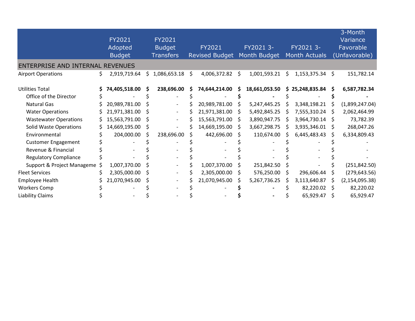|                                  |                     |     |                          |                       |              |               |    |                      |     | 3-Month          |
|----------------------------------|---------------------|-----|--------------------------|-----------------------|--------------|---------------|----|----------------------|-----|------------------|
|                                  | FY2021              |     | FY2021                   |                       |              |               |    |                      |     | <b>Variance</b>  |
|                                  | Adopted             |     | <b>Budget</b>            | FY2021                |              | FY2021 3-     |    | FY2021 3-            |     | Favorable        |
|                                  | <b>Budget</b>       |     | <b>Transfers</b>         | <b>Revised Budget</b> |              | Month Budget  |    | <b>Month Actuals</b> |     | (Unfavorable)    |
| ENTERPRISE AND INTERNAL REVENUES |                     |     |                          |                       |              |               |    |                      |     |                  |
| <b>Airport Operations</b>        | \$<br>2,919,719.64  | \$. | 1,086,653.18             | \$<br>4,006,372.82    | \$           | 1,001,593.21  | \$ | $1,153,375.34$ \$    |     | 151,782.14       |
| <b>Utilities Total</b>           | \$<br>74,405,518.00 | S   | 238,696.00               | 74,644,214.00         |              | 18,661,053.50 | S. | 25,248,835.84        |     | 6,587,782.34     |
| Office of the Director           |                     |     |                          |                       |              |               |    |                      |     |                  |
| <b>Natural Gas</b>               | 20,989,781.00       |     | $\overline{\phantom{a}}$ | 20,989,781.00         |              | 5,247,445.25  |    | 3,348,198.21         |     | (1,899,247.04)   |
| <b>Water Operations</b>          | 21,971,381.00       | S   | $\overline{\phantom{a}}$ | 21,971,381.00         | S            | 5,492,845.25  |    | 7,555,310.24         | -S  | 2,062,464.99     |
| <b>Wastewater Operations</b>     | 15,563,791.00       | S   | $\overline{\phantom{a}}$ | 15,563,791.00         | <sub>S</sub> | 3,890,947.75  |    | 3,964,730.14         | -S  | 73,782.39        |
| <b>Solid Waste Operations</b>    | 14,669,195.00       | S   | $\overline{\phantom{0}}$ | 14,669,195.00         | S            | 3,667,298.75  |    | 3,935,346.01         | S   | 268,047.26       |
| Environmental                    | 204,000.00          | Ś   | 238,696.00               | 442,696.00            |              | 110,674.00    |    | 6,445,483.43         |     | 6,334,809.43     |
| <b>Customer Engagement</b>       |                     |     |                          |                       |              |               |    |                      |     |                  |
| Revenue & Financial              |                     |     |                          |                       |              |               |    |                      |     |                  |
| <b>Regulatory Compliance</b>     |                     |     |                          |                       |              |               |    |                      |     |                  |
| Support & Project Manageme \$    | 1,007,370.00        |     |                          | 1,007,370.00          |              | 251,842.50    |    |                      |     | (251, 842.50)    |
| <b>Fleet Services</b>            | 2,305,000.00        | S   |                          | 2,305,000.00          | S            | 576,250.00    | S  | 296,606.44           | S   | (279, 643.56)    |
| Employee Health                  | 21,070,945.00       | S   |                          | 21,070,945.00         |              | 5,267,736.25  |    | 3,113,640.87         |     | (2, 154, 095.38) |
| <b>Workers Comp</b>              |                     |     |                          |                       |              |               |    | 82,220.02            | - S | 82,220.02        |
| <b>Liability Claims</b>          |                     |     |                          |                       |              |               |    | 65,929.47            |     | 65,929.47        |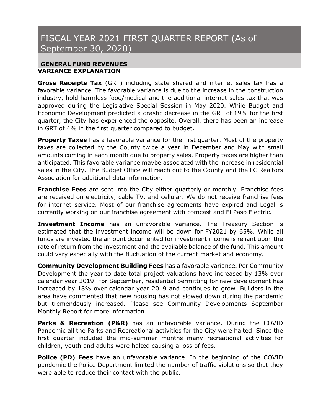# FISCAL YEAR 2021 FIRST QUARTER REPORT (As of September 30, 2020)

### **GENERAL FUND REVENUES VARIANCE EXPLANATION**

**Gross Receipts Tax** (GRT) including state shared and internet sales tax has a favorable variance. The favorable variance is due to the increase in the construction industry, hold harmless food/medical and the additional internet sales tax that was approved during the Legislative Special Session in May 2020. While Budget and Economic Development predicted a drastic decrease in the GRT of 19% for the first quarter, the City has experienced the opposite. Overall, there has been an increase in GRT of 4% in the first quarter compared to budget.

**Property Taxes** has a favorable variance for the first quarter. Most of the property taxes are collected by the County twice a year in December and May with small amounts coming in each month due to property sales. Property taxes are higher than anticipated. This favorable variance maybe associated with the increase in residential sales in the City. The Budget Office will reach out to the County and the LC Realtors Association for additional data information.

**Franchise Fees** are sent into the City either quarterly or monthly. Franchise fees are received on electricity, cable TV, and cellular. We do not receive franchise fees for internet service. Most of our franchise agreements have expired and Legal is currently working on our franchise agreement with comcast and El Paso Electric.

**Investment Income** has an unfavorable variance. The Treasury Section is estimated that the investment income will be down for FY2021 by 65%. While all funds are invested the amount documented for investment income is reliant upon the rate of return from the investment and the available balance of the fund. This amount could vary especially with the fluctuation of the current market and economy.

**Community Development Building Fees** has a favorable variance. Per Community Development the year to date total project valuations have increased by 13% over calendar year 2019. For September, residential permitting for new development has increased by 18% over calendar year 2019 and continues to grow. Builders in the area have commented that new housing has not slowed down during the pandemic but tremendously increased. Please see Community Developments September Monthly Report for more information.

**Parks & Recreation (P&R)** has an unfavorable variance. During the COVID Pandemic all the Parks and Recreational activities for the City were halted. Since the first quarter included the mid-summer months many recreational activities for children, youth and adults were halted causing a loss of fees.

**Police (PD) Fees** have an unfavorable variance. In the beginning of the COVID pandemic the Police Department limited the number of traffic violations so that they were able to reduce their contact with the public.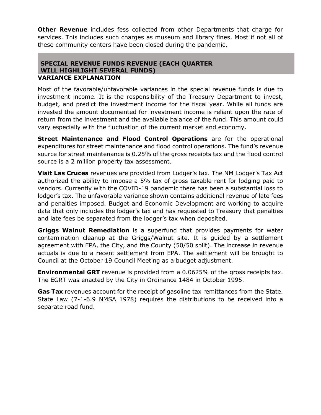**Other Revenue** includes fess collected from other Departments that charge for services. This includes such charges as museum and library fines. Most if not all of these community centers have been closed during the pandemic.

### **SPECIAL REVENUE FUNDS REVENUE (EACH QUARTER WILL HIGHLIGHT SEVERAL FUNDS) VARIANCE EXPLANATION**

Most of the favorable/unfavorable variances in the special revenue funds is due to investment income. It is the responsibility of the Treasury Department to invest, budget, and predict the investment income for the fiscal year. While all funds are invested the amount documented for investment income is reliant upon the rate of return from the investment and the available balance of the fund. This amount could vary especially with the fluctuation of the current market and economy.

**Street Maintenance and Flood Control Operations** are for the operational expenditures for street maintenance and flood control operations. The fund's revenue source for street maintenance is 0.25% of the gross receipts tax and the flood control source is a 2 million property tax assessment.

**Visit Las Cruces** revenues are provided from Lodger's tax. The NM Lodger's Tax Act authorized the ability to impose a 5% tax of gross taxable rent for lodging paid to vendors. Currently with the COVID-19 pandemic there has been a substantial loss to lodger's tax. The unfavorable variance shown contains additional revenue of late fees and penalties imposed. Budget and Economic Development are working to acquire data that only includes the lodger's tax and has requested to Treasury that penalties and late fees be separated from the lodger's tax when deposited.

**Griggs Walnut Remediation** is a superfund that provides payments for water contamination cleanup at the Griggs/Walnut site. It is guided by a settlement agreement with EPA, the City, and the County (50/50 split). The increase in revenue actuals is due to a recent settlement from EPA. The settlement will be brought to Council at the October 19 Council Meeting as a budget adjustment.

**Environmental GRT** revenue is provided from a 0.0625% of the gross receipts tax. The EGRT was enacted by the City in Ordinance 1484 in October 1995.

**Gas Tax** revenues account for the receipt of gasoline tax remittances from the State. State Law (7-1-6.9 NMSA 1978) requires the distributions to be received into a separate road fund.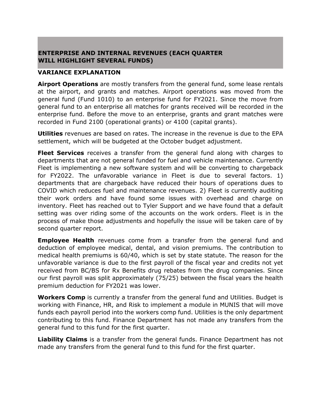## **ENTERPRISE AND INTERNAL REVENUES (EACH QUARTER WILL HIGHLIGHT SEVERAL FUNDS)**

#### **VARIANCE EXPLANATION**

**Airport Operations** are mostly transfers from the general fund, some lease rentals at the airport, and grants and matches. Airport operations was moved from the general fund (Fund 1010) to an enterprise fund for FY2021. Since the move from general fund to an enterprise all matches for grants received will be recorded in the enterprise fund. Before the move to an enterprise, grants and grant matches were recorded in Fund 2100 (operational grants) or 4100 (capital grants).

**Utilities** revenues are based on rates. The increase in the revenue is due to the EPA settlement, which will be budgeted at the October budget adjustment.

**Fleet Services** receives a transfer from the general fund along with charges to departments that are not general funded for fuel and vehicle maintenance. Currently Fleet is implementing a new software system and will be converting to chargeback for FY2022. The unfavorable variance in Fleet is due to several factors. 1) departments that are chargeback have reduced their hours of operations dues to COVID which reduces fuel and maintenance revenues. 2) Fleet is currently auditing their work orders and have found some issues with overhead and charge on inventory. Fleet has reached out to Tyler Support and we have found that a default setting was over riding some of the accounts on the work orders. Fleet is in the process of make those adjustments and hopefully the issue will be taken care of by second quarter report.

**Employee Health** revenues come from a transfer from the general fund and deduction of employee medical, dental, and vision premiums. The contribution to medical health premiums is 60/40, which is set by state statute. The reason for the unfavorable variance is due to the first payroll of the fiscal year and credits not yet received from BC/BS for Rx Benefits drug rebates from the drug companies. Since our first payroll was split approximately (75/25) between the fiscal years the health premium deduction for FY2021 was lower.

**Workers Comp** is currently a transfer from the general fund and Utilities. Budget is working with Finance, HR, and Risk to implement a module in MUNIS that will move funds each payroll period into the workers comp fund. Utilities is the only department contributing to this fund. Finance Department has not made any transfers from the general fund to this fund for the first quarter.

**Liability Claims** is a transfer from the general funds. Finance Department has not made any transfers from the general fund to this fund for the first quarter.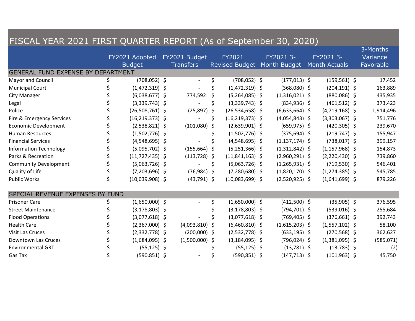| FISCAL YEAR 2021 FIRST QUARTER REPORT (As of September 30, 2020) |    |                     |  |                          |    |                             |  |                    |  |                      |  |            |
|------------------------------------------------------------------|----|---------------------|--|--------------------------|----|-----------------------------|--|--------------------|--|----------------------|--|------------|
|                                                                  |    |                     |  |                          |    |                             |  |                    |  |                      |  | 3-Months   |
|                                                                  |    | FY2021 Adopted      |  | FY2021 Budget            |    | <b>FY2021</b>               |  | FY2021 3-          |  | FY2021 3-            |  | Variance   |
|                                                                  |    | <b>Budget</b>       |  | <b>Transfers</b>         |    | Revised Budget Month Budget |  |                    |  | <b>Month Actuals</b> |  | Favorable  |
| <b>GENERAL FUND EXPENSE BY DEPARTMENT</b>                        |    |                     |  |                          |    |                             |  |                    |  |                      |  |            |
| Mayor and Council                                                | \$ | $(708, 052)$ \$     |  | $\overline{\phantom{a}}$ | \$ | $(708, 052)$ \$             |  | $(177, 013)$ \$    |  | $(159, 561)$ \$      |  | 17,452     |
| <b>Municipal Court</b>                                           |    | $(1,472,319)$ \$    |  |                          | \$ | $(1,472,319)$ \$            |  | $(368,080)$ \$     |  | $(204, 191)$ \$      |  | 163,889    |
| <b>City Manager</b>                                              |    | $(6,038,677)$ \$    |  | 774,592                  | \$ | $(5,264,085)$ \$            |  | $(1,316,021)$ \$   |  | $(880,086)$ \$       |  | 435,935    |
| Legal                                                            |    | $(3,339,743)$ \$    |  |                          | \$ | $(3,339,743)$ \$            |  | $(834,936)$ \$     |  | $(461,512)$ \$       |  | 373,423    |
| Police                                                           |    | $(26,508,761)$ \$   |  | (25, 897)                | \$ | $(26,534,658)$ \$           |  | $(6,633,664)$ \$   |  | $(4,719,168)$ \$     |  | 1,914,496  |
| Fire & Emergency Services                                        |    | $(16, 219, 373)$ \$ |  |                          | \$ | $(16, 219, 373)$ \$         |  | $(4,054,843)$ \$   |  | $(3,303,067)$ \$     |  | 751,776    |
| <b>Economic Development</b>                                      |    | $(2,538,821)$ \$    |  | (101,080)                | \$ | $(2,639,901)$ \$            |  | $(659, 975)$ \$    |  | $(420, 305)$ \$      |  | 239,670    |
| <b>Human Resources</b>                                           |    | $(1,502,776)$ \$    |  |                          | Ś  | $(1,502,776)$ \$            |  | $(375, 694)$ \$    |  | $(219, 747)$ \$      |  | 155,947    |
| <b>Financial Services</b>                                        |    | $(4,548,695)$ \$    |  |                          |    | $(4,548,695)$ \$            |  | $(1, 137, 174)$ \$ |  | $(738,017)$ \$       |  | 399,157    |
| <b>Information Technology</b>                                    |    | $(5,095,702)$ \$    |  | $(155,664)$ \$           |    | $(5,251,366)$ \$            |  | $(1,312,842)$ \$   |  | $(1, 157, 968)$ \$   |  | 154,873    |
| Parks & Recreation                                               |    | $(11, 727, 435)$ \$ |  | $(113, 728)$ \$          |    | $(11,841,163)$ \$           |  | $(2,960,291)$ \$   |  | $(2,220,430)$ \$     |  | 739,860    |
| <b>Community Development</b>                                     |    | $(5,063,726)$ \$    |  |                          | \$ | $(5,063,726)$ \$            |  | $(1,265,931)$ \$   |  | $(719,530)$ \$       |  | 546,401    |
| Quality of Life                                                  |    | $(7,203,696)$ \$    |  | $(76,984)$ \$            |    | $(7,280,680)$ \$            |  | $(1,820,170)$ \$   |  | $(1,274,385)$ \$     |  | 545,785    |
| <b>Public Works</b>                                              |    | $(10,039,908)$ \$   |  | $(43,791)$ \$            |    | $(10,083,699)$ \$           |  | $(2,520,925)$ \$   |  | $(1,641,699)$ \$     |  | 879,226    |
| SPECIAL REVENUE EXPENSES BY FUND                                 |    |                     |  |                          |    |                             |  |                    |  |                      |  |            |
| <b>Prisoner Care</b>                                             | Ś  | $(1,650,000)$ \$    |  | $\overline{\phantom{a}}$ | \$ | $(1,650,000)$ \$            |  | $(412,500)$ \$     |  | $(35,905)$ \$        |  | 376,595    |
| <b>Street Maintenance</b>                                        |    | $(3, 178, 803)$ \$  |  |                          | \$ | $(3, 178, 803)$ \$          |  | $(794, 701)$ \$    |  | $(539,016)$ \$       |  | 255,684    |
| <b>Flood Operations</b>                                          |    | $(3,077,618)$ \$    |  |                          | \$ | $(3,077,618)$ \$            |  | $(769, 405)$ \$    |  | $(376,661)$ \$       |  | 392,743    |
| <b>Health Care</b>                                               |    | $(2,367,000)$ \$    |  | (4,093,810)              | \$ | $(6,460,810)$ \$            |  | $(1,615,203)$ \$   |  | $(1,557,102)$ \$     |  | 58,100     |
| Visit Las Cruces                                                 |    | $(2,332,778)$ \$    |  | $(200,000)$ \$           |    | $(2,532,778)$ \$            |  | $(633, 195)$ \$    |  | $(270, 568)$ \$      |  | 362,627    |
| Downtown Las Cruces                                              |    | $(1,684,095)$ \$    |  | $(1,500,000)$ \$         |    | $(3, 184, 095)$ \$          |  | $(796, 024)$ \$    |  | $(1,381,095)$ \$     |  | (585, 071) |
| <b>Environmental GRT</b>                                         |    | $(55, 125)$ \$      |  |                          |    | $(55, 125)$ \$              |  | $(13,781)$ \$      |  | $(13,783)$ \$        |  | (2)        |
| Gas Tax                                                          |    | $(590, 851)$ \$     |  |                          |    | $(590, 851)$ \$             |  | $(147, 713)$ \$    |  | $(101, 963)$ \$      |  | 45,750     |

,我们也不会有什么。""我们的人,我们也不会有什么?""我们的人,我们也不会有什么?""我们的人,我们也不会有什么?""我们的人,我们也不会有什么?""我们的人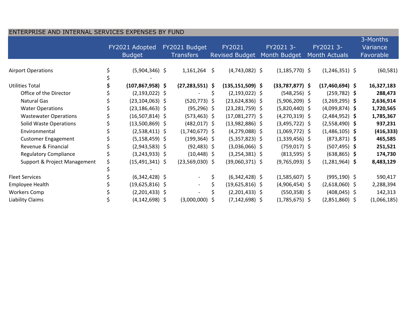| ENTERPRISE AND INTERNAL SERVICES EXPENSES BY FUND |                                 |                      |                                   |                          |                                 |                      |                           |                    |                            |                     |  |                                   |  |
|---------------------------------------------------|---------------------------------|----------------------|-----------------------------------|--------------------------|---------------------------------|----------------------|---------------------------|--------------------|----------------------------|---------------------|--|-----------------------------------|--|
|                                                   | FY2021 Adopted<br><b>Budget</b> |                      | FY2021 Budget<br><b>Transfers</b> |                          | FY2021<br><b>Revised Budget</b> |                      | FY2021 3-<br>Month Budget |                    | FY2021 3-<br>Month Actuals |                     |  | 3-Months<br>Variance<br>Favorable |  |
| <b>Airport Operations</b>                         |                                 | $(5,904,346)$ \$     |                                   | 1,161,264                | \$                              | $(4,743,082)$ \$     |                           | $(1, 185, 770)$ \$ |                            | $(1,246,351)$ \$    |  | (60, 581)                         |  |
| <b>Utilities Total</b>                            |                                 | $(107, 867, 958)$ \$ |                                   | $(27, 283, 551)$ \$      |                                 | $(135, 151, 509)$ \$ |                           | $(33,787,877)$ \$  |                            | $(17, 460, 694)$ \$ |  | 16,327,183                        |  |
| Office of the Director                            |                                 | $(2, 193, 022)$ \$   |                                   | $\blacksquare$           | \$                              | $(2, 193, 022)$ \$   |                           | $(548, 256)$ \$    |                            | $(259, 782)$ \$     |  | 288,473                           |  |
| <b>Natural Gas</b>                                |                                 | $(23, 104, 063)$ \$  |                                   | $(520, 773)$ \$          |                                 | $(23,624,836)$ \$    |                           | $(5,906,209)$ \$   |                            | $(3,269,295)$ \$    |  | 2,636,914                         |  |
| <b>Water Operations</b>                           |                                 | $(23, 186, 463)$ \$  |                                   | $(95, 296)$ \$           |                                 | $(23, 281, 759)$ \$  |                           | $(5,820,440)$ \$   |                            | $(4,099,874)$ \$    |  | 1,720,565                         |  |
| <b>Wastewater Operations</b>                      |                                 | $(16,507,814)$ \$    |                                   | $(573, 463)$ \$          |                                 | $(17,081,277)$ \$    |                           | $(4,270,319)$ \$   |                            | $(2,484,952)$ \$    |  | 1,785,367                         |  |
| <b>Solid Waste Operations</b>                     |                                 | $(13,500,869)$ \$    |                                   | $(482, 017)$ \$          |                                 | $(13,982,886)$ \$    |                           | $(3,495,722)$ \$   |                            | $(2,558,490)$ \$    |  | 937,231                           |  |
| Environmental                                     |                                 | $(2,538,411)$ \$     |                                   | $(1,740,677)$ \$         |                                 | $(4,279,088)$ \$     |                           | $(1,069,772)$ \$   |                            | $(1,486,105)$ \$    |  | (416, 333)                        |  |
| <b>Customer Engagement</b>                        |                                 | $(5, 158, 459)$ \$   |                                   | $(199, 364)$ \$          |                                 | $(5,357,823)$ \$     |                           | $(1,339,456)$ \$   |                            | $(873, 871)$ \$     |  | 465,585                           |  |
| Revenue & Financial                               |                                 | $(2,943,583)$ \$     |                                   | $(92, 483)$ \$           |                                 | $(3,036,066)$ \$     |                           | $(759, 017)$ \$    |                            | $(507, 495)$ \$     |  | 251,521                           |  |
| <b>Regulatory Compliance</b>                      |                                 | $(3,243,933)$ \$     |                                   | $(10, 448)$ \$           |                                 | $(3,254,381)$ \$     |                           | $(813,595)$ \$     |                            | $(638, 865)$ \$     |  | 174,730                           |  |
| Support & Project Management                      |                                 | $(15,491,341)$ \$    |                                   | $(23,569,030)$ \$        |                                 | $(39,060,371)$ \$    |                           | $(9,765,093)$ \$   |                            | $(1,281,964)$ \$    |  | 8,483,129                         |  |
|                                                   |                                 |                      |                                   |                          |                                 |                      |                           |                    |                            |                     |  |                                   |  |
| <b>Fleet Services</b>                             |                                 | $(6,342,428)$ \$     |                                   | $\overline{\phantom{a}}$ | \$                              | $(6,342,428)$ \$     |                           | $(1,585,607)$ \$   |                            | $(995, 190)$ \$     |  | 590,417                           |  |
| Employee Health                                   |                                 | $(19,625,816)$ \$    |                                   | $\overline{\phantom{a}}$ | \$                              | $(19,625,816)$ \$    |                           | $(4,906,454)$ \$   |                            | $(2,618,060)$ \$    |  | 2,288,394                         |  |
| <b>Workers Comp</b>                               |                                 | $(2,201,433)$ \$     |                                   |                          |                                 | $(2,201,433)$ \$     |                           | $(550, 358)$ \$    |                            | $(408, 045)$ \$     |  | 142,313                           |  |
| Liability Claims                                  |                                 | $(4, 142, 698)$ \$   |                                   | $(3,000,000)$ \$         |                                 | $(7, 142, 698)$ \$   |                           | $(1,785,675)$ \$   |                            | $(2,851,860)$ \$    |  | (1,066,185)                       |  |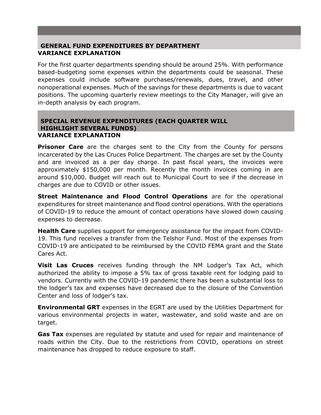### **GENERAL FUND EXPENDITURES BY DEPARTMENT VARIANCE EXPLANATION**

For the first quarter departments spending should be around 25%. With performance based-budgeting some expenses within the departments could be seasonal. These expenses could include software purchases/renewals, dues, travel, and other nonoperational expenses. Much of the savings for these departments is due to vacant positions. The upcoming quarterly review meetings to the City Manager, will give an in-depth analysis by each program.

#### **SPECIAL REVENUE EXPENDITURES (EACH QUARTER WILL HIGHLIGHT SEVERAL FUNDS) VARIANCE EXPLANATION**

**Prisoner Care** are the charges sent to the City from the County for persons incarcerated by the Las Cruces Police Department. The charges are set by the County and are invoiced as a per day charge. In past fiscal years, the invoices were approximately \$150,000 per month. Recently the month invoices coming in are around \$10,000. Budget will reach out to Municipal Court to see if the decrease in charges are due to COVID or other issues.

**Street Maintenance and Flood Control Operations** are for the operational expenditures for street maintenance and flood control operations. With the operations of COVID-19 to reduce the amount of contact operations have slowed down causing expenses to decrease.

**Health Care** supplies support for emergency assistance for the impact from COVID-19. This fund receives a transfer from the Telshor Fund. Most of the expenses from COVID-19 are anticipated to be reimbursed by the COVID FEMA grant and the State Cares Act.

**Visit Las Cruces** receives funding through the NM Lodger's Tax Act, which authorized the ability to impose a 5% tax of gross taxable rent for lodging paid to vendors. Currently with the COVID-19 pandemic there has been a substantial loss to the lodger's tax and expenses have decreased due to the closure of the Convention Center and loss of lodger's tax.

**Environmental GRT** expenses in the EGRT are used by the Utilities Department for various environmental projects in water, wastewater, and solid waste and are on target.

**Gas Tax** expenses are regulated by statute and used for repair and maintenance of roads within the City. Due to the restrictions from COVID, operations on street maintenance has dropped to reduce exposure to staff.